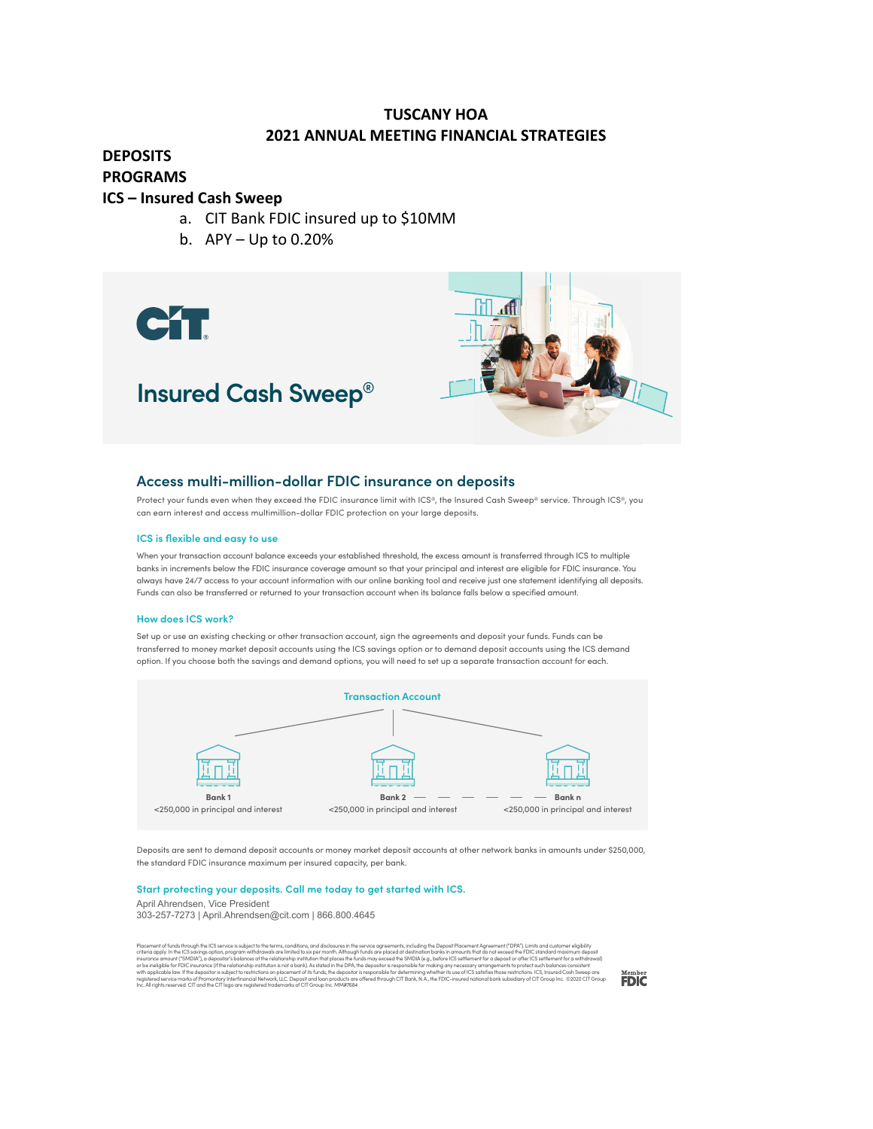## **TUSCANY HOA 2021 ANNUAL MEETING FINANCIAL STRATEGIES**

## **DEPOSITS PROGRAMS**

## **ICS – Insured Cash Sweep**

- a. CIT Bank FDIC insured up to \$10MM
- b. APY Up to 0.20%

CT





## **Access multi-million-dollar FDIC insurance on deposits**

Protect your funds even when they exceed the FDIC insurance limit with ICS®, the Insured Cash Sweep® service. Through ICS®, you can earn interest and access multimillion-dollar FDIC protection on your large deposits.

#### **ICS is flexible and easy to use**

When your transaction account balance exceeds your established threshold, the excess amount is transferred through ICS to multiple banks in increments below the FDIC insurance coverage amount so that your principal and interest are eligible for FDIC insurance. You always have 24/7 access to your account information with our online banking tool and receive just one statement identifying all deposits. Funds can also be transferred or returned to your transaction account when its balance falls below a specified amount.

#### **How does ICS work?**

Set up or use an existing checking or other transaction account, sign the agreements and deposit your funds. Funds can be transferred to money market deposit accounts using the ICS savings option or to demand deposit accounts using the ICS demand option. If you choose both the savings and demand options, you will need to set up a separate transaction account for each.



Deposits are sent to demand deposit accounts or money market deposit accounts at other network banks in amounts under \$250,000, the standard FDIC insurance maximum per insured capacity, per bank.

### **Start protecting your deposits. Call me today to get started with ICS.**

April Ahrendsen, Vice President

303-257-7273 | April.Ahrendsen@cit.com | 866.800.4645

Placement of funds through the ICS service is subject to the terms, conditions, and disclosures in the service agreements, including the Deposit Placement of funds through the ICS savings option, program withdraweds are li

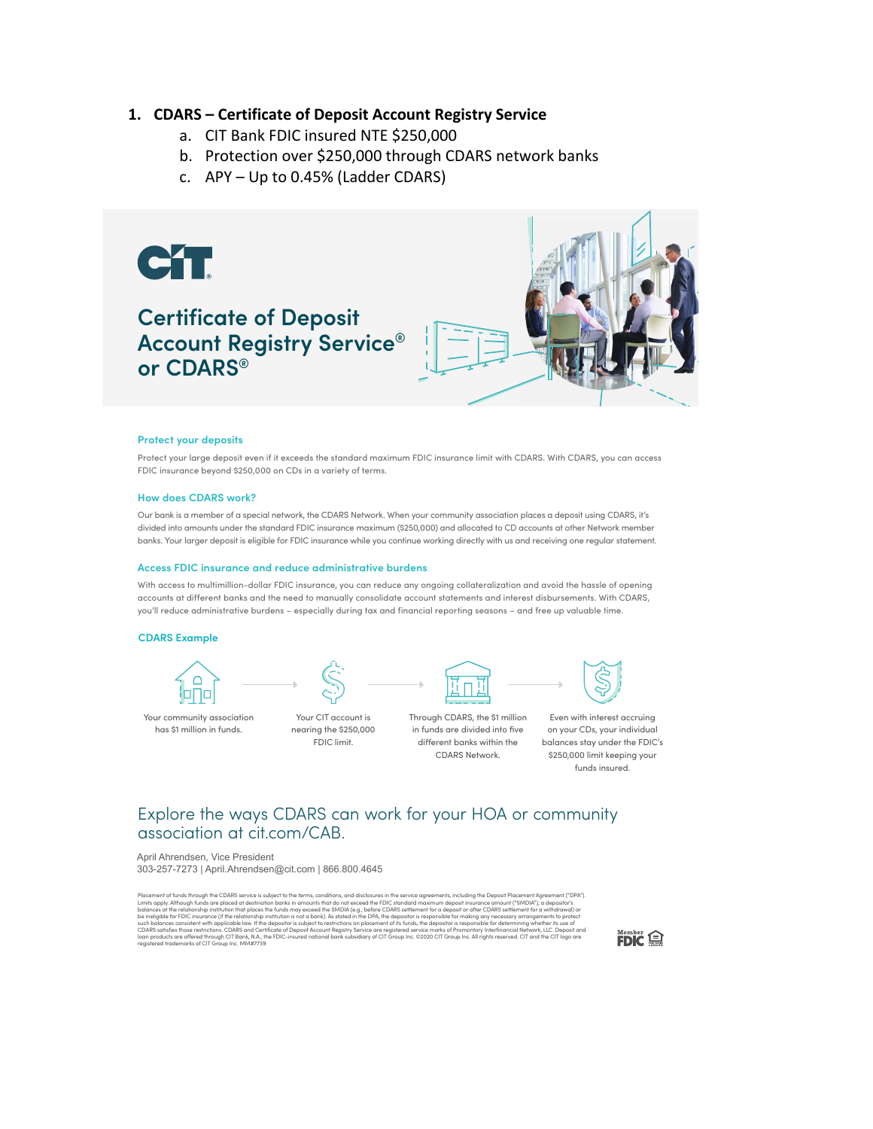## **1. CDARS – Certificate of Deposit Account Registry Service**

- a. CIT Bank FDIC insured NTE \$250,000
- b. Protection over \$250,000 through CDARS network banks
- c. APY Up to 0.45% (Ladder CDARS)



#### **Protect your deposits**

Protect your large deposit even if it exceeds the standard maximum FDIC insurance limit with CDARS. With CDARS, you can access FDIC insurance beyond \$250,000 on CDs in a variety of terms.

#### **How does CDARS work?**

Our bank is a member of a special network, the CDARS Network. When your community association places a deposit using CDARS, it's divided into amounts under the standard FDIC insurance maximum (\$250,000) and allocated to CD accounts at other Network member banks. Your larger deposit is eligible for FDIC insurance while you continue working directly with us and receiving one regular statement.

#### **Access FDIC insurance and reduce administrative burdens**

With access to multimillion-dollar FDIC insurance, you can reduce any ongoing collateralization and avoid the hassle of opening accounts at different banks and the need to manually consolidate account statements and interest disbursements. With CDARS, you'll reduce administrative burdens – especially during tax and financial reporting seasons – and free up valuable time.

#### **CDARS Example**



Your community association has \$1 million in funds.





nearing the \$250,000 FDIC limit.



Through CDARS, the \$1 million in funds are divided into five

CDARS Network.



different banks within the balances stay under the FDIC's Even with interest accruing on your CDs, your individual \$250,000 limit keeping your funds insured.

## Explore the ways CDARS can work for your HOA or community association at cit.com/CAB.

April Ahrendsen, Vice President 303-257-7273 | April.Ahrendsen@cit.com | 866.800.4645

Placement of funds through the CDAR's service is subject to the terms, conditions, and disclosures in the service aggreement (SMDIA'), a deposite the SMDIA'), a deposite for the service is subject to the terms, conditions

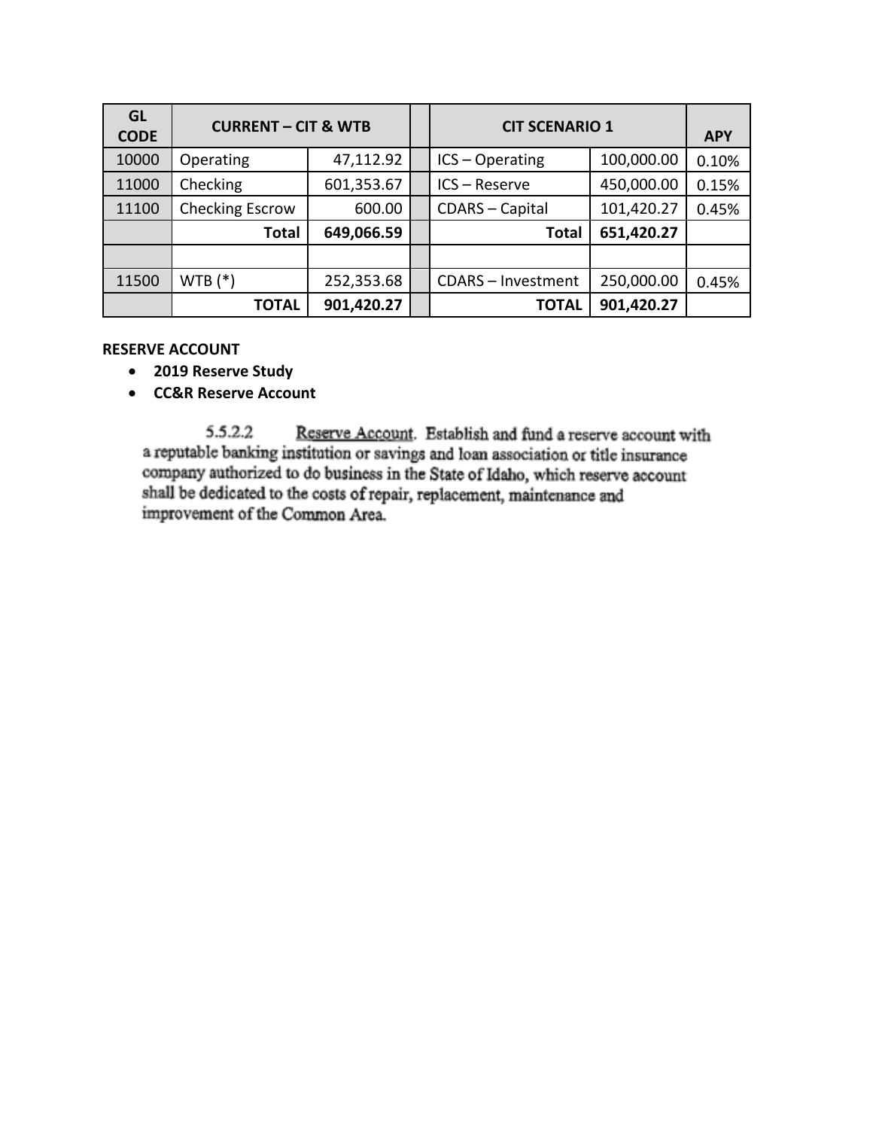| <b>GL</b><br><b>CODE</b> | <b>CURRENT - CIT &amp; WTB</b> |            |  | <b>CIT SCENARIO 1</b>  |            | <b>APY</b> |
|--------------------------|--------------------------------|------------|--|------------------------|------------|------------|
| 10000                    | Operating                      | 47,112.92  |  | $ICS - Operating$      | 100,000.00 | 0.10%      |
| 11000                    | Checking                       | 601,353.67 |  | ICS-Reserve            | 450,000.00 | 0.15%      |
| 11100                    | Checking Escrow                | 600.00     |  | <b>CDARS</b> - Capital | 101,420.27 | 0.45%      |
|                          | <b>Total</b>                   | 649,066.59 |  | <b>Total</b>           | 651,420.27 |            |
|                          |                                |            |  |                        |            |            |
| 11500                    | $WTB(*)$                       | 252,353.68 |  | CDARS - Investment     | 250,000.00 | 0.45%      |
|                          | <b>TOTAL</b>                   | 901,420.27 |  | <b>TOTAL</b>           | 901,420.27 |            |

## **RESERVE ACCOUNT**

- **2019 Reserve Study**
- **CC&R Reserve Account**

5.5.2.2 Reserve Account. Establish and fund a reserve account with a reputable banking institution or savings and loan association or title insurance company authorized to do business in the State of Idaho, which reserve account shall be dedicated to the costs of repair, replacement, maintenance and improvement of the Common Area.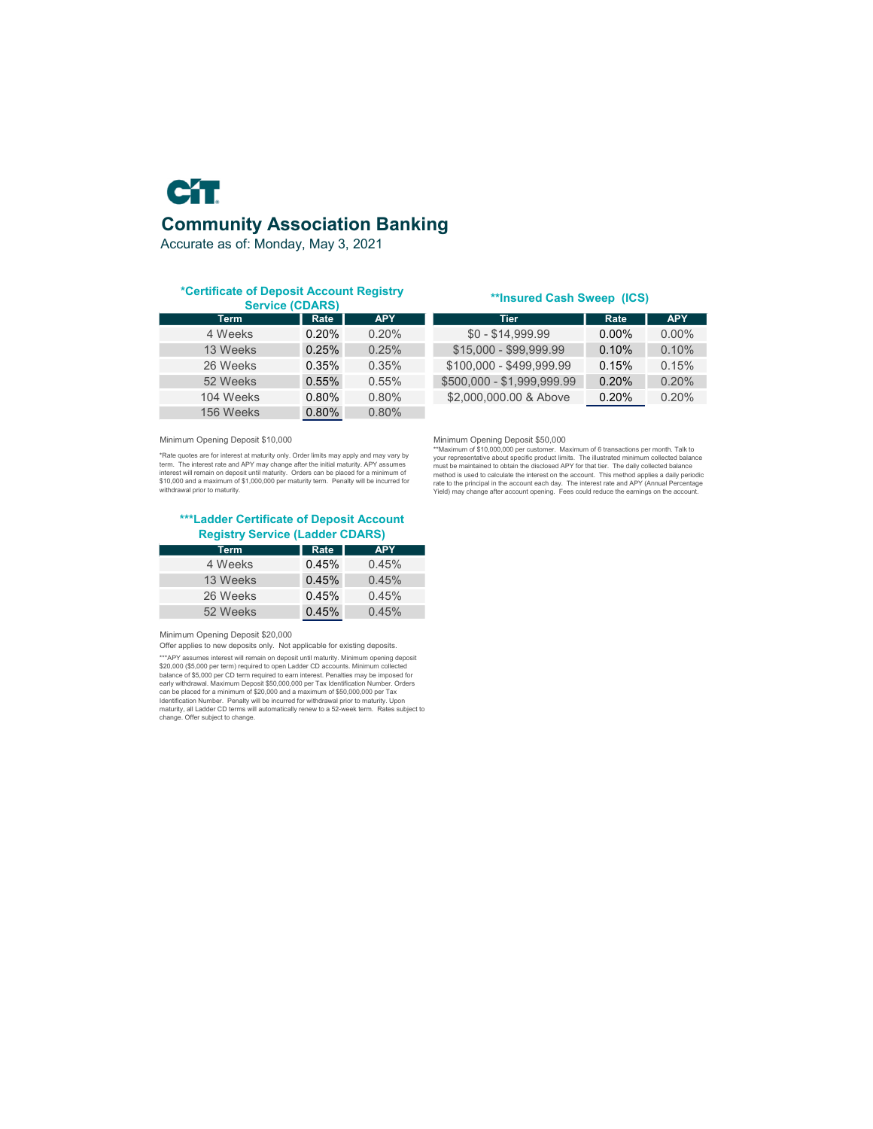

Accurate as of: Monday, May 3, 2021

# **\*Certificate of Deposit Account Registry**

| ------------- |       |            |  |  |  |  |
|---------------|-------|------------|--|--|--|--|
| <b>Term</b>   | Rate  | <b>APY</b> |  |  |  |  |
| 4 Weeks       | 0.20% | 0.20%      |  |  |  |  |
| 13 Weeks      | 0.25% | 0.25%      |  |  |  |  |
| 26 Weeks      | 0.35% | 0.35%      |  |  |  |  |
| 52 Weeks      | 0.55% | 0.55%      |  |  |  |  |
| 104 Weeks     | 0.80% | 0.80%      |  |  |  |  |
| 156 Weeks     | 0.80% | 0.80%      |  |  |  |  |

### **\*\*Insured Cash Sweep (ICS)**

| Rate     | <b>APY</b> | Tier                       | Rate     | <b>APY</b> |
|----------|------------|----------------------------|----------|------------|
| $0.20\%$ | $0.20\%$   | $$0 - $14.999.99$          | $0.00\%$ | $0.00\%$   |
| 0.25%    | 0.25%      | $$15.000 - $99.999.99$     | 0.10%    | $0.10\%$   |
| 0.35%    | 0.35%      | \$100.000 - \$499.999.99   | 0.15%    | 0.15%      |
| $0.55\%$ | 0.55%      | \$500,000 - \$1,999,999.99 | $0.20\%$ | 0.20%      |
| 0.80%    | 0.80%      | \$2,000,000,00 & Above     | 0.20%    | 0.20%      |
|          |            |                            |          |            |

Minimum Opening Deposit \$10,000<br>
"Miximum Opening Deposit \$50,000<br>
"Rate quotes are for interest at maturity only. Order limits may apply and may vary by<br>
"Naximum of \$1,000,000 per customers are and APY material maturity. \*Rate quotes are for interest at maturity only. Order limits may apply and may vary by term. The interest rate and APY may change after the initial maturity. APY assumes<br>interest will remain on deposit until maturity. Orders can be placed for a minimum of<br>\$10,000 and a maximum of \$1,000,000 per maturity term

**\*\*\*Ladder Certificate of Deposit Account Registry Service (Ladder CDARS)**

| <b>Term</b> | Rate  | <b>APY</b> |
|-------------|-------|------------|
| 4 Weeks     | 0.45% | 0.45%      |
| 13 Weeks    | 0.45% | 0.45%      |
| 26 Weeks    | 0.45% | 0.45%      |
| 52 Weeks    | 0.45% | 0.45%      |

Minimum Opening Deposit \$20,000

Offer applies to new deposits only. Not applicable for existing deposits.

\*\*\*APY assumes interest will remain on deposit until maturity. Minimum opening deposit<br>\$20,000 (\$5,000 per ICD term required to open Ladder CD accounts. Minimum collected<br>balance of \$5,000 per CD term required to earn inte